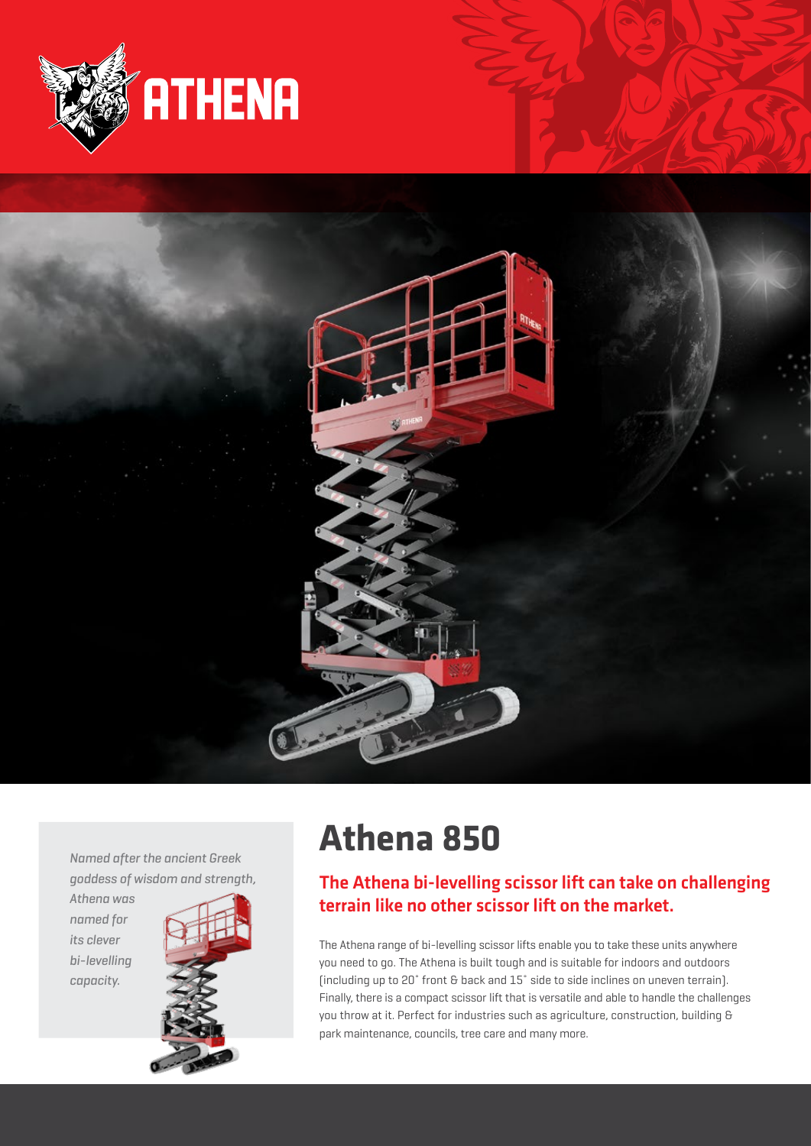



*Named after the ancient Greek goddess of wisdom and strength,* 

*Athena was named for its clever bi-levelling capacity.*



# **Athena 850**

## The Athena bi-levelling scissor lift can take on challenging terrain like no other scissor lift on the market.

The Athena range of bi-levelling scissor lifts enable you to take these units anywhere you need to go. The Athena is built tough and is suitable for indoors and outdoors (including up to 20˚ front & back and 15˚ side to side inclines on uneven terrain). Finally, there is a compact scissor lift that is versatile and able to handle the challenges you throw at it. Perfect for industries such as agriculture, construction, building & park maintenance, councils, tree care and many more.